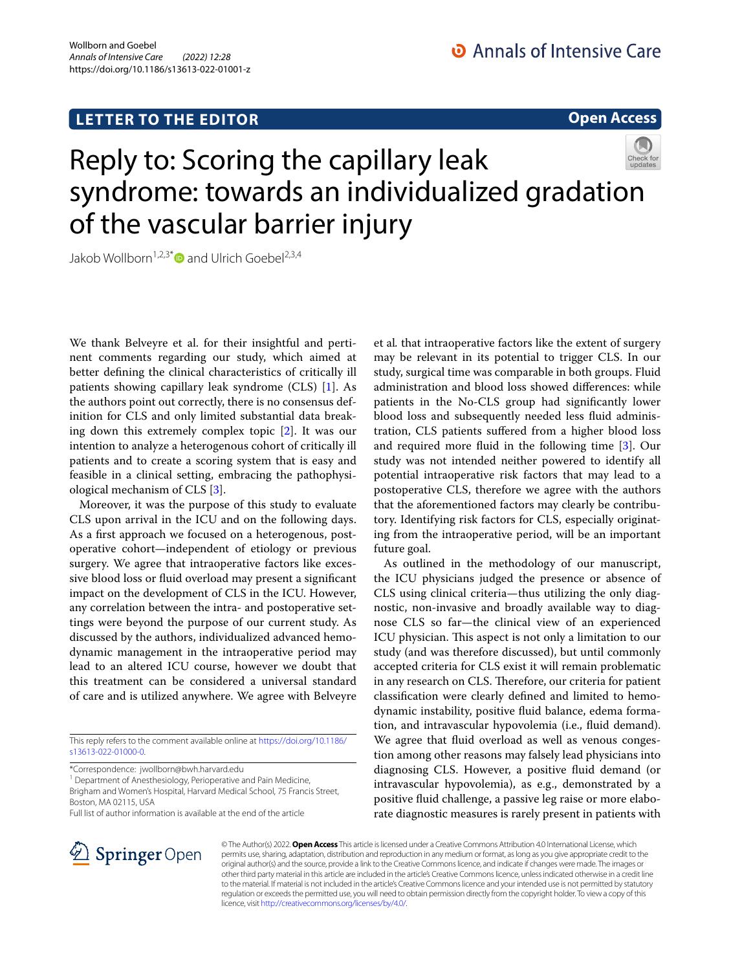## **LETTER TO THE EDITOR**

**Open Access**

# Reply to: Scoring the capillary leak syndrome: towards an individualized gradation of the vascular barrier injury

Jakob Wollborn<sup>1,2,3[\\*](http://orcid.org/0000-0002-6767-7978)</sup> and Ulrich Goebel<sup>2,3,4</sup>

We thank Belveyre et al. for their insightful and pertinent comments regarding our study, which aimed at better defning the clinical characteristics of critically ill patients showing capillary leak syndrome (CLS) [[1](#page-1-0)]. As the authors point out correctly, there is no consensus definition for CLS and only limited substantial data breaking down this extremely complex topic [[2](#page-1-1)]. It was our intention to analyze a heterogenous cohort of critically ill patients and to create a scoring system that is easy and feasible in a clinical setting, embracing the pathophysiological mechanism of CLS [[3\]](#page-1-2).

Moreover, it was the purpose of this study to evaluate CLS upon arrival in the ICU and on the following days. As a frst approach we focused on a heterogenous, postoperative cohort—independent of etiology or previous surgery. We agree that intraoperative factors like excessive blood loss or fuid overload may present a signifcant impact on the development of CLS in the ICU. However, any correlation between the intra- and postoperative settings were beyond the purpose of our current study. As discussed by the authors, individualized advanced hemodynamic management in the intraoperative period may lead to an altered ICU course, however we doubt that this treatment can be considered a universal standard of care and is utilized anywhere. We agree with Belveyre

This reply refers to the comment available online at [https://doi.org/10.1186/](https://doi.org/10.1186/s13613-022-01000-0) [s13613-022-01000-0](https://doi.org/10.1186/s13613-022-01000-0).

\*Correspondence: jwollborn@bwh.harvard.edu

<sup>1</sup> Department of Anesthesiology, Perioperative and Pain Medicine, Brigham and Women's Hospital, Harvard Medical School, 75 Francis Street, Boston, MA 02115, USA

Full list of author information is available at the end of the article

et al*.* that intraoperative factors like the extent of surgery may be relevant in its potential to trigger CLS. In our study, surgical time was comparable in both groups. Fluid administration and blood loss showed diferences: while patients in the No-CLS group had signifcantly lower blood loss and subsequently needed less fuid administration, CLS patients sufered from a higher blood loss and required more fuid in the following time [\[3](#page-1-2)]. Our study was not intended neither powered to identify all potential intraoperative risk factors that may lead to a postoperative CLS, therefore we agree with the authors that the aforementioned factors may clearly be contributory. Identifying risk factors for CLS, especially originating from the intraoperative period, will be an important future goal.

As outlined in the methodology of our manuscript, the ICU physicians judged the presence or absence of CLS using clinical criteria—thus utilizing the only diagnostic, non-invasive and broadly available way to diagnose CLS so far—the clinical view of an experienced ICU physician. This aspect is not only a limitation to our study (and was therefore discussed), but until commonly accepted criteria for CLS exist it will remain problematic in any research on CLS. Therefore, our criteria for patient classifcation were clearly defned and limited to hemodynamic instability, positive fuid balance, edema formation, and intravascular hypovolemia (i.e., fuid demand). We agree that fuid overload as well as venous congestion among other reasons may falsely lead physicians into diagnosing CLS. However, a positive fuid demand (or intravascular hypovolemia), as e.g., demonstrated by a positive fuid challenge, a passive leg raise or more elaborate diagnostic measures is rarely present in patients with



© The Author(s) 2022. **Open Access** This article is licensed under a Creative Commons Attribution 4.0 International License, which permits use, sharing, adaptation, distribution and reproduction in any medium or format, as long as you give appropriate credit to the original author(s) and the source, provide a link to the Creative Commons licence, and indicate if changes were made. The images or other third party material in this article are included in the article's Creative Commons licence, unless indicated otherwise in a credit line to the material. If material is not included in the article's Creative Commons licence and your intended use is not permitted by statutory regulation or exceeds the permitted use, you will need to obtain permission directly from the copyright holder. To view a copy of this licence, visit [http://creativecommons.org/licenses/by/4.0/.](http://creativecommons.org/licenses/by/4.0/)